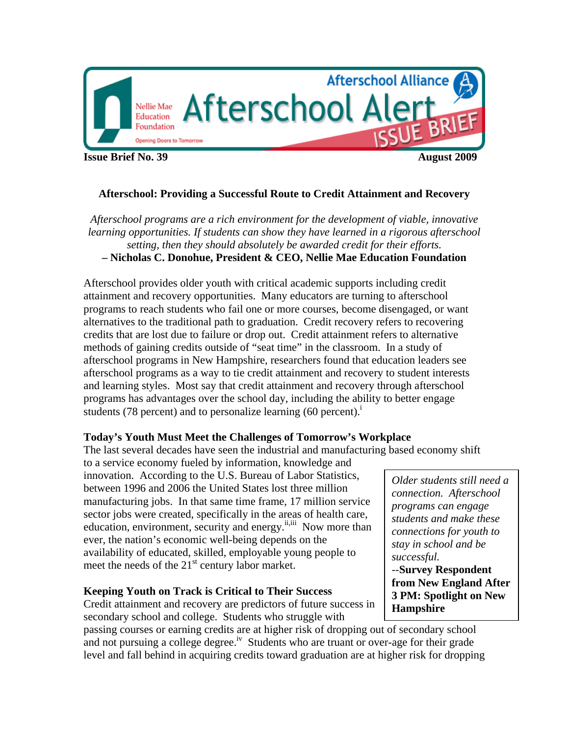

**Issue Brief No. 39 August 2009**

# **Afterschool: Providing a Successful Route to Credit Attainment and Recovery**

*Afterschool programs are a rich environment for the development of viable, innovative learning opportunities. If students can show they have learned in a rigorous afterschool setting, then they should absolutely be awarded credit for their efforts.*  **– Nicholas C. Donohue, President & CEO, Nellie Mae Education Foundation** 

Afterschool provides older youth with critical academic supports including credit attainment and recovery opportunities. Many educators are turning to afterschool programs to reach students who fail one or more courses, become disengaged, or want alternatives to the traditional path to graduation. Credit recovery refers to recovering credits that are lost due to failure or drop out. Credit attainment refers to alternative methods of gaining credits outside of "seat time" in the classroom. In a study of afterschool programs in New Hampshire, researchers found that education leaders see afterschool programs as a way to tie credit attainment and recovery to student interests and learning styles. Most say that credit attainment and recovery through afterschool programs has advantages over the school day, including the ability to better engage students (78 percent) and to personalize learning (60 percent).<sup>1</sup>

## **Today's Youth Must Meet the Challenges of Tomorrow's Workplace**

The last several decades have seen the industrial and manufacturing based economy shift

to a service economy fueled by information, knowledge and innovation. According to the U.S. Bureau of Labor Statistics, between 1996 and 2006 the United States lost three million manufacturing jobs. In that same time frame, 17 million service sector jobs were created, specifically in the areas of health care, education, environment, security and energy.<sup>ii,iii</sup> Now more than ever, the nation's economic well-being depends on the availability of educated, skilled, employable young people to meet the needs of the  $21<sup>st</sup>$  century labor market.

# **Keeping Youth on Track is Critical to Their Success**

Credit attainment and recovery are predictors of future success in secondary school and college. Students who struggle with

passing courses or earning credits are at higher risk of dropping out of secondary school and not pursuing a college degree.<sup>iv</sup> Students who are truant or over-age for their grade level and fall behind in acquiring credits toward graduation are at higher risk for dropping

*Older students still need a connection. Afterschool programs can engage students and make these connections for youth to stay in school and be successful.*  --**Survey Respondent from New England After 3 PM: Spotlight on New Hampshire**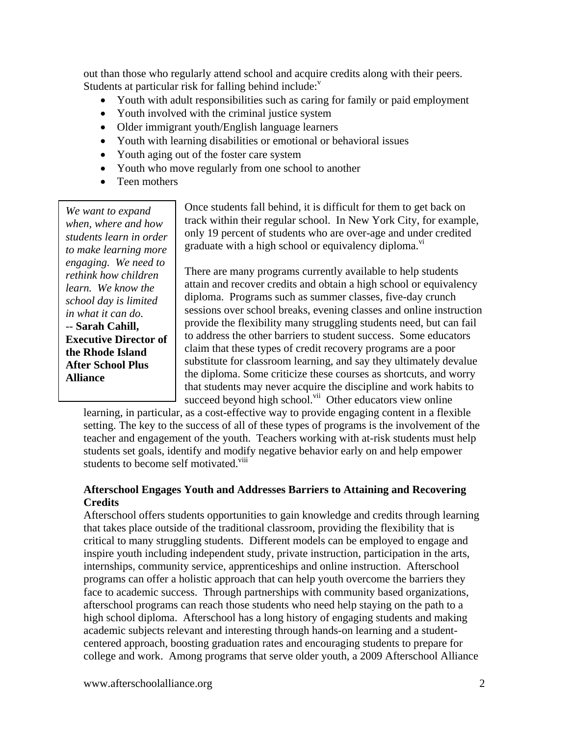out than those who regularly attend school and acquire credits along with their peers. Students at particular risk for falling behind include: $v$ 

- Youth with adult responsibilities such as caring for family or paid employment
- Youth involved with the criminal justice system
- Older immigrant youth/English language learners
- Youth with learning disabilities or emotional or behavioral issues
- Youth aging out of the foster care system
- Youth who move regularly from one school to another
- Teen mothers

*We want to expand when, where and how students learn in order to make learning more engaging. We need to rethink how children learn. We know the school day is limited in what it can do*. -- **Sarah Cahill, Executive Director of the Rhode Island After School Plus Alliance**

Once students fall behind, it is difficult for them to get back on track within their regular school. In New York City, for example, only 19 percent of students who are over-age and under credited graduate with a high school or equivalency diploma.<sup>vi</sup>

There are many programs currently available to help students attain and recover credits and obtain a high school or equivalency diploma. Programs such as summer classes, five-day crunch sessions over school breaks, evening classes and online instruction provide the flexibility many struggling students need, but can fail to address the other barriers to student success. Some educators claim that these types of credit recovery programs are a poor substitute for classroom learning, and say they ultimately devalue the diploma. Some criticize these courses as shortcuts, and worry that students may never acquire the discipline and work habits to succeed beyond high school.<sup>vii</sup> Other educators view online

learning, in particular, as a cost-effective way to provide engaging content in a flexible setting. The key to the success of all of these types of programs is the involvement of the teacher and engagement of the youth. Teachers working with at-risk students must help students set goals, identify and modify negative behavior early on and help empower students to become self motivated.<sup>viii</sup>

# **Afterschool Engages Youth and Addresses Barriers to Attaining and Recovering Credits**

Afterschool offers students opportunities to gain knowledge and credits through learning that takes place outside of the traditional classroom, providing the flexibility that is critical to many struggling students. Different models can be employed to engage and inspire youth including independent study, private instruction, participation in the arts, internships, community service, apprenticeships and online instruction. Afterschool programs can offer a holistic approach that can help youth overcome the barriers they face to academic success. Through partnerships with community based organizations, afterschool programs can reach those students who need help staying on the path to a high school diploma. Afterschool has a long history of engaging students and making academic subjects relevant and interesting through hands-on learning and a studentcentered approach, boosting graduation rates and encouraging students to prepare for college and work. Among programs that serve older youth, a 2009 Afterschool Alliance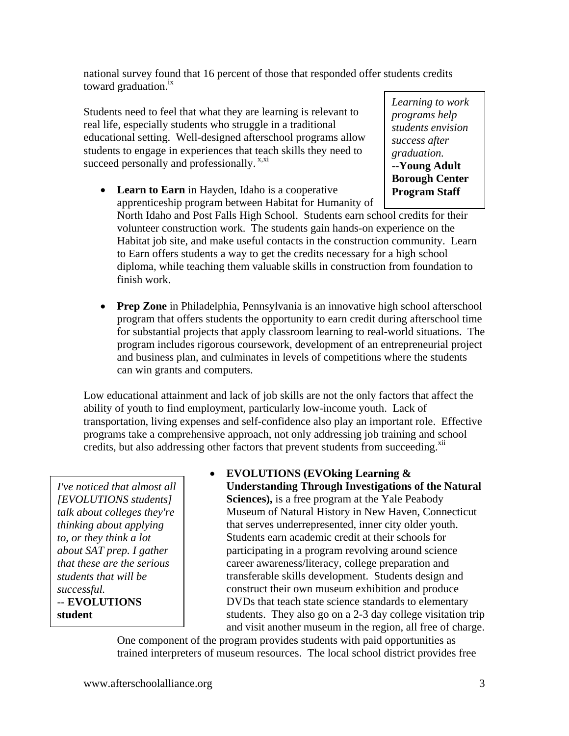national survey found that 16 percent of those that responded offer students credits toward graduation. $^{1x}$ 

Students need to feel that what they are learning is relevant to real life, especially students who struggle in a traditional educational setting. Well-designed afterschool programs allow students to engage in experiences that teach skills they need to succeed personally and professionally.<sup>x,xi</sup>

*Learning to work programs help students envision success after graduation.*  --**Young Adult Borough Center Program Staff** 

- **Learn to Earn** in Hayden, Idaho is a cooperative apprenticeship program between Habitat for Humanity of North Idaho and Post Falls High School. Students earn school credits for their volunteer construction work. The students gain hands-on experience on the Habitat job site, and make useful contacts in the construction community. Learn to Earn offers students a way to get the credits necessary for a high school diploma, while teaching them valuable skills in construction from foundation to finish work.
- **Prep Zone** in Philadelphia, Pennsylvania is an innovative high school afterschool program that offers students the opportunity to earn credit during afterschool time for substantial projects that apply classroom learning to real-world situations. The program includes rigorous coursework, development of an entrepreneurial project and business plan, and culminates in levels of competitions where the students can win grants and computers.

Low educational attainment and lack of job skills are not the only factors that affect the ability of youth to find employment, particularly low-income youth. Lack of transportation, living expenses and self-confidence also play an important role. Effective programs take a comprehensive approach, not only addressing job training and school credits, but also addressing other factors that prevent students from succeeding.<sup>xii</sup>

*I've noticed that almost all [EVOLUTIONS students] talk about colleges they're thinking about applying to, or they think a lot about SAT prep. I gather that these are the serious students that will be successful. --* **EVOLUTIONS student** 

 **EVOLUTIONS (EVOking Learning & Understanding Through Investigations of the Natural Sciences),** is a free program at the Yale Peabody Museum of Natural History in New Haven, Connecticut that serves underrepresented, inner city older youth. Students earn academic credit at their schools for participating in a program revolving around science career awareness/literacy, college preparation and transferable skills development. Students design and construct their own museum exhibition and produce DVDs that teach state science standards to elementary students. They also go on a 2-3 day college visitation trip and visit another museum in the region, all free of charge.

One component of the program provides students with paid opportunities as trained interpreters of museum resources. The local school district provides free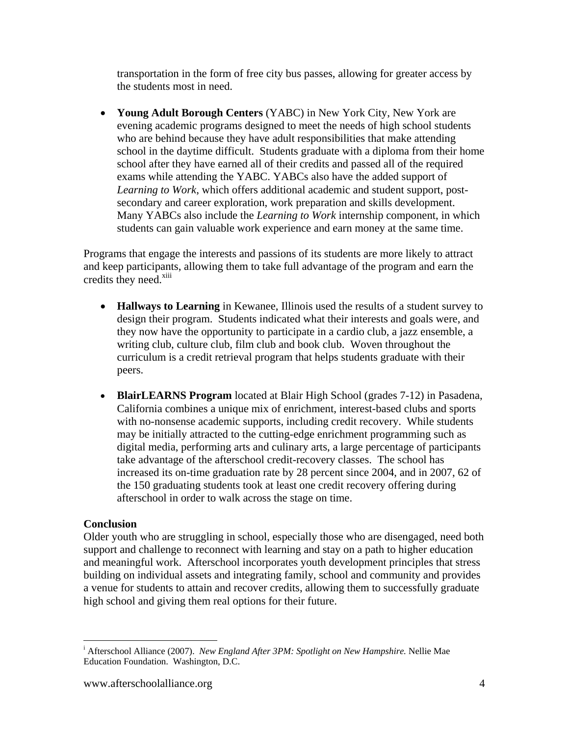transportation in the form of free city bus passes, allowing for greater access by the students most in need.

 **Young Adult Borough Centers** (YABC) in New York City, New York are evening academic programs designed to meet the needs of high school students who are behind because they have adult responsibilities that make attending school in the daytime difficult. Students graduate with a diploma from their home school after they have earned all of their credits and passed all of the required exams while attending the YABC. YABCs also have the added support of *Learning to Work*, which offers additional academic and student support, postsecondary and career exploration, work preparation and skills development. Many YABCs also include the *Learning to Work* internship component, in which students can gain valuable work experience and earn money at the same time.

Programs that engage the interests and passions of its students are more likely to attract and keep participants, allowing them to take full advantage of the program and earn the credits they need.<sup>xiii</sup>

- **Hallways to Learning** in Kewanee, Illinois used the results of a student survey to design their program. Students indicated what their interests and goals were, and they now have the opportunity to participate in a cardio club, a jazz ensemble, a writing club, culture club, film club and book club. Woven throughout the curriculum is a credit retrieval program that helps students graduate with their peers.
- **BlairLEARNS Program** located at Blair High School (grades 7-12) in Pasadena, California combines a unique mix of enrichment, interest-based clubs and sports with no-nonsense academic supports, including credit recovery. While students may be initially attracted to the cutting-edge enrichment programming such as digital media, performing arts and culinary arts, a large percentage of participants take advantage of the afterschool credit-recovery classes. The school has increased its on-time graduation rate by 28 percent since 2004, and in 2007, 62 of the 150 graduating students took at least one credit recovery offering during afterschool in order to walk across the stage on time.

# **Conclusion**

Older youth who are struggling in school, especially those who are disengaged, need both support and challenge to reconnect with learning and stay on a path to higher education and meaningful work. Afterschool incorporates youth development principles that stress building on individual assets and integrating family, school and community and provides a venue for students to attain and recover credits, allowing them to successfully graduate high school and giving them real options for their future.

 $\overline{a}$ i Afterschool Alliance (2007). *New England After 3PM: Spotlight on New Hampshire.* Nellie Mae Education Foundation. Washington, D.C.